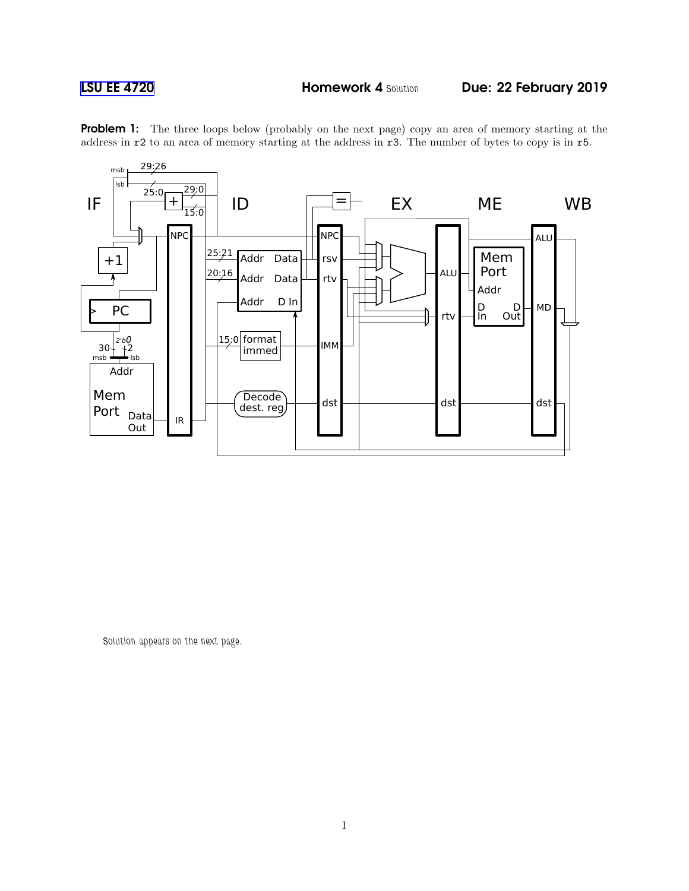

Problem 1: The three loops below (probably on the next page) copy an area of memory starting at the address in r2 to an area of memory starting at the address in r3. The number of bytes to copy is in r5.

Solution appears on the next page.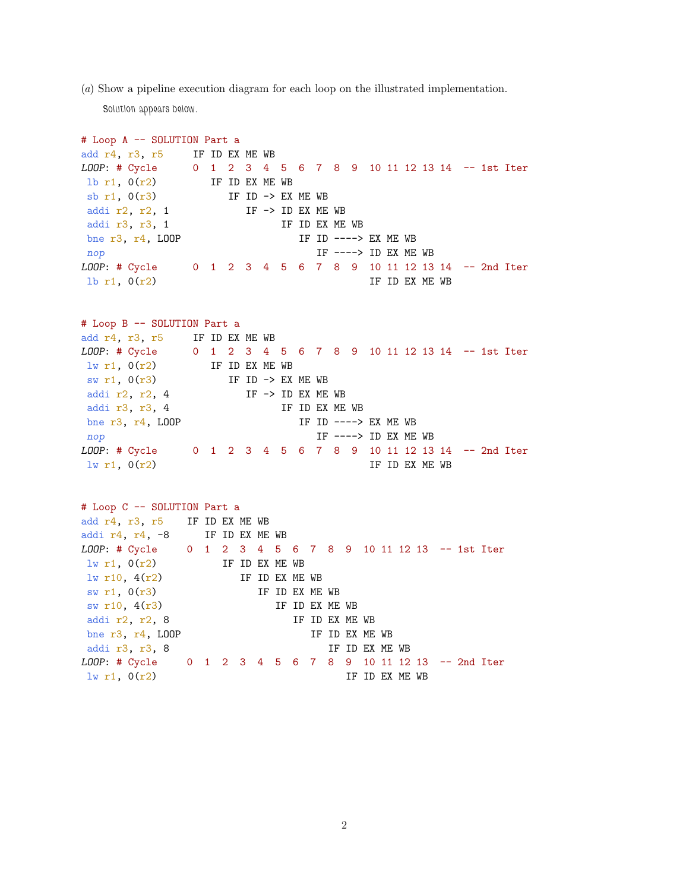(a) Show a pipeline execution diagram for each loop on the illustrated implementation.

Solution appears below.

# Loop A -- SOLUTION Part a add r4, r3, r5 IF ID EX ME WB LOOP: # Cycle 0 1 2 3 4 5 6 7 8 9 10 11 12 13 14 -- 1st Iter 1b r1,  $0(r2)$  IF ID EX ME WB sb r1,  $0(r3)$  IF ID -> EX ME WB addi r2, r2, 1  $IF \rightarrow ID EX ME WB$ addi r3, r3, 1 IF ID EX ME WB bne r3, r4, LOOP IF ID  $---> EX ME WB$ nop IF ----> ID EX ME WB LOOP: # Cycle 0 1 2 3 4 5 6 7 8 9 10 11 12 13 14 -- 2nd Iter 1b r1,  $0(r2)$  IF ID EX ME WB # Loop B -- SOLUTION Part a add r4, r3, r5 IF ID EX ME WB LOOP: # Cycle 0 1 2 3 4 5 6 7 8 9 10 11 12 13 14 -- 1st Iter  $\ln$  r1,  $O(r2)$  IF ID EX ME WB  $sw r1$ ,  $O(r3)$  IF ID -> EX ME WB addi r2, r2, 4  $IF \rightarrow ID EX ME WB$ addi r3, r3, 4 IF ID EX ME WB bne r3, r4, LOOP IF ID  $--->$  EX ME WB  $\mathsf{1}$ F --->  $\mathsf{1}$ D EX ME WB LOOP: # Cycle 0 1 2 3 4 5 6 7 8 9 10 11 12 13 14 -- 2nd Iter  $\ln r1$ ,  $0(r2)$  IF ID EX ME WB # Loop C -- SOLUTION Part a add r4, r3, r5 IF ID EX ME WB addi r4, r4, -8 IF ID EX ME WB LOOP: # Cycle 0 1 2 3 4 5 6 7 8 9 10 11 12 13 -- 1st Iter  $lw$  r1,  $O(r2)$  IF ID EX ME WB  $\frac{1}{w}$  r10, 4(r2) IF ID EX ME WB sw r1,  $0(r3)$  IF ID EX ME WB  $sw r10$ ,  $4(r3)$  IF ID EX ME WB addi r2, r2, 8 IF ID EX ME WB bne r3, r4, LOOP IF ID EX ME WB addi r3, r3, 8 IF ID EX ME WB LOOP: # Cycle 0 1 2 3 4 5 6 7 8 9 10 11 12 13 -- 2nd Iter  $\ln r1$ ,  $0(r2)$  IF ID EX ME WB